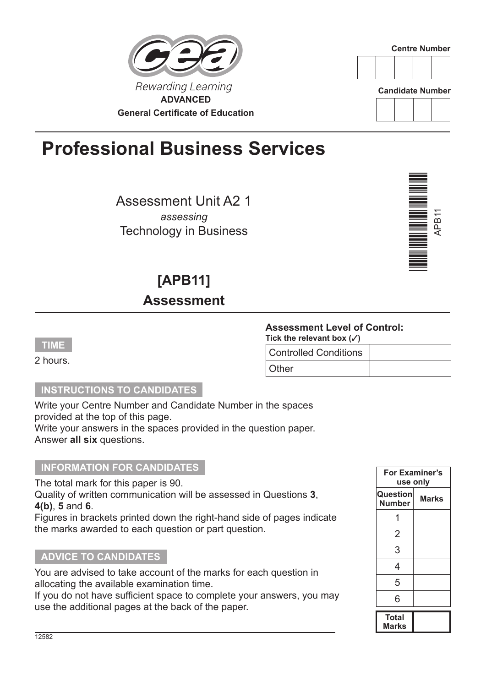**TIME** 2 hours. Assessment Unit A2 1

**Professional Business Services**

*assessing* Technology in Business

## **[APB11] Assessment**

#### **Assessment Level of Control: Tick the relevant box ()**

| $11011$ GIV 1010 VAIIL NOA (V) |  |
|--------------------------------|--|
| <b>Controlled Conditions</b>   |  |
| ∣ Other                        |  |

### **INSTRUCTIONS TO CANDIDATES**

Write your Centre Number and Candidate Number in the spaces provided at the top of this page. Write your answers in the spaces provided in the question paper. Answer **all six** questions.

#### **INFORMATION FOR CANDIDATES**

The total mark for this paper is 90.

Quality of written communication will be assessed in Questions **3**, **4(b)**, **5** and **6**.

Figures in brackets printed down the right-hand side of pages indicate the marks awarded to each question or part question.

#### **ADVICE TO CANDIDATES**

You are advised to take account of the marks for each question in allocating the available examination time.

If you do not have sufficient space to complete your answers, you may use the additional pages at the back of the paper.







**Candidate Number**

Rewarding Learning **ADVANCED General Certificate of Education**

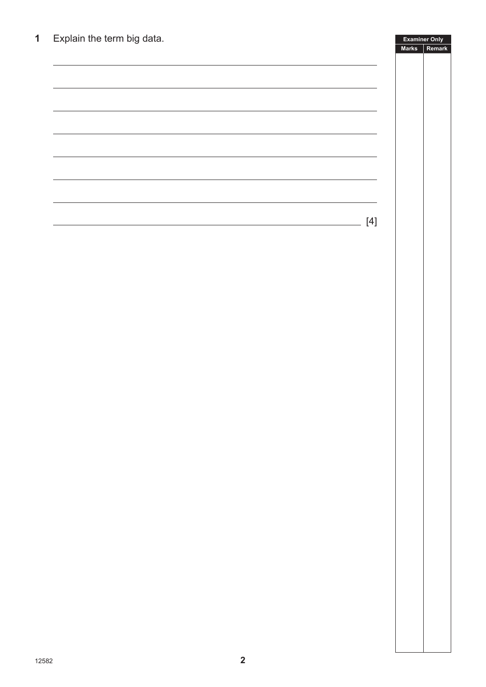| Explain the term big data.       |                                                                        |              | Examiner Only |
|----------------------------------|------------------------------------------------------------------------|--------------|---------------|
|                                  |                                                                        | <b>Marks</b> | Remark        |
|                                  |                                                                        |              |               |
|                                  |                                                                        |              |               |
|                                  |                                                                        |              |               |
|                                  |                                                                        |              |               |
|                                  |                                                                        |              |               |
|                                  |                                                                        |              |               |
|                                  |                                                                        |              |               |
|                                  |                                                                        |              |               |
|                                  |                                                                        |              |               |
|                                  |                                                                        |              |               |
|                                  |                                                                        |              |               |
|                                  |                                                                        |              |               |
|                                  | $[4]$<br><u> 1980 - Johann Barn, mars an t-Amerikaansk politiker (</u> |              |               |
|                                  |                                                                        |              |               |
|                                  |                                                                        |              |               |
|                                  |                                                                        |              |               |
|                                  |                                                                        |              |               |
|                                  |                                                                        |              |               |
|                                  |                                                                        |              |               |
|                                  |                                                                        |              |               |
|                                  |                                                                        |              |               |
|                                  |                                                                        |              |               |
|                                  |                                                                        |              |               |
|                                  |                                                                        |              |               |
|                                  |                                                                        |              |               |
|                                  |                                                                        |              |               |
|                                  |                                                                        |              |               |
|                                  |                                                                        |              |               |
|                                  |                                                                        |              |               |
|                                  |                                                                        |              |               |
|                                  |                                                                        |              |               |
|                                  |                                                                        |              |               |
|                                  |                                                                        |              |               |
|                                  |                                                                        |              |               |
|                                  |                                                                        |              |               |
|                                  |                                                                        |              |               |
|                                  |                                                                        |              |               |
|                                  |                                                                        |              |               |
|                                  |                                                                        |              |               |
|                                  |                                                                        |              |               |
|                                  |                                                                        |              |               |
|                                  |                                                                        |              |               |
|                                  |                                                                        |              |               |
|                                  |                                                                        |              |               |
|                                  |                                                                        |              |               |
| $\overline{\mathbf{2}}$<br>12582 |                                                                        |              |               |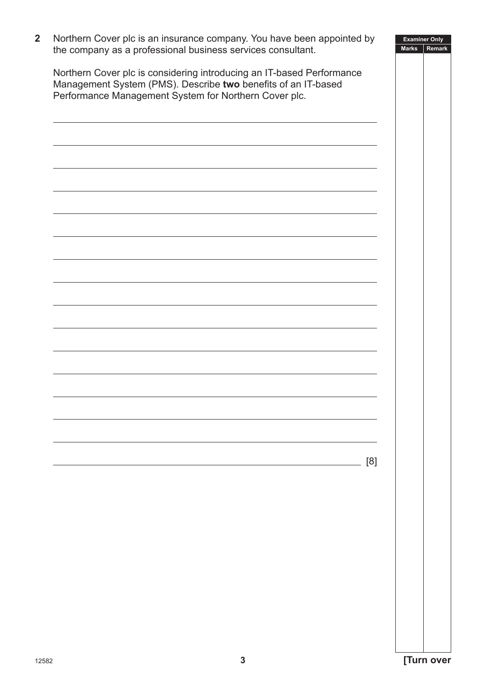**2** Northern Cover plc is an insurance company. You have been appointed by the company as a professional business services consultant.

Northern Cover plc is considering introducing an IT-based Performance Management System (PMS). Describe **two** benefits of an IT-based

| $[8]$ |  |  |  |
|-------|--|--|--|
|       |  |  |  |
|       |  |  |  |
|       |  |  |  |
|       |  |  |  |
|       |  |  |  |
|       |  |  |  |
|       |  |  |  |

**Examiner Only Marks Remark**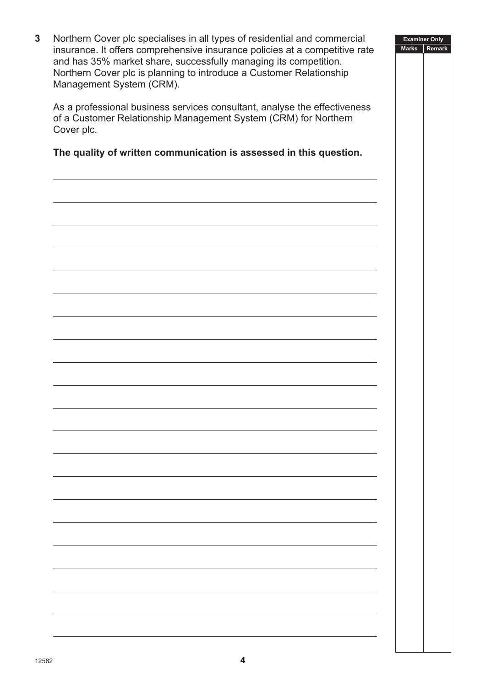**Examiner Only Marks Remark 3** Northern Cover plc specialises in all types of residential and commercial insurance. It offers comprehensive insurance policies at a competitive rate and has 35% market share, successfully managing its competition. Northern Cover plc is planning to introduce a Customer Relationship Management System (CRM). As a professional business services consultant, analyse the effectiveness of a Customer Relationship Management System (CRM) for Northern Cover plc. **The quality of written communication is assessed in this question.**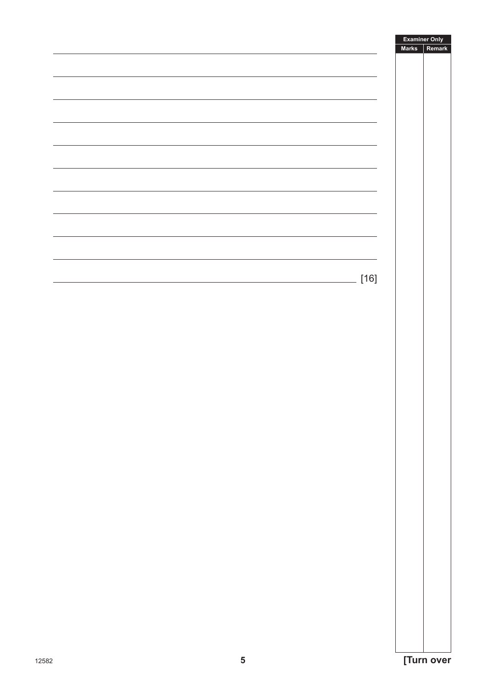|       |                                              |        | <b>Examiner Only</b><br><b>Marks</b> | Remark     |
|-------|----------------------------------------------|--------|--------------------------------------|------------|
|       |                                              |        |                                      |            |
|       |                                              |        |                                      |            |
|       |                                              |        |                                      |            |
|       |                                              |        |                                      |            |
|       |                                              |        |                                      |            |
|       |                                              |        |                                      |            |
|       |                                              |        |                                      |            |
|       |                                              |        |                                      |            |
|       |                                              |        |                                      |            |
|       |                                              |        |                                      |            |
|       |                                              |        |                                      |            |
|       |                                              |        |                                      |            |
|       |                                              |        |                                      |            |
|       |                                              |        |                                      |            |
|       | <u> 1980 - Johann Barn, fransk politik (</u> | $[16]$ |                                      |            |
|       |                                              |        |                                      |            |
|       |                                              |        |                                      |            |
|       |                                              |        |                                      |            |
|       |                                              |        |                                      |            |
|       |                                              |        |                                      |            |
|       |                                              |        |                                      |            |
|       |                                              |        |                                      |            |
|       |                                              |        |                                      |            |
|       |                                              |        |                                      |            |
|       |                                              |        |                                      |            |
|       |                                              |        |                                      |            |
|       |                                              |        |                                      |            |
|       |                                              |        |                                      |            |
|       |                                              |        |                                      |            |
|       |                                              |        |                                      |            |
|       |                                              |        |                                      |            |
|       |                                              |        |                                      |            |
|       |                                              |        |                                      |            |
|       |                                              |        |                                      |            |
|       |                                              |        |                                      |            |
|       |                                              |        |                                      |            |
|       |                                              |        |                                      |            |
|       |                                              |        |                                      |            |
|       |                                              |        |                                      |            |
| 12582 | ${\bf 5}$                                    |        |                                      | [Turn over |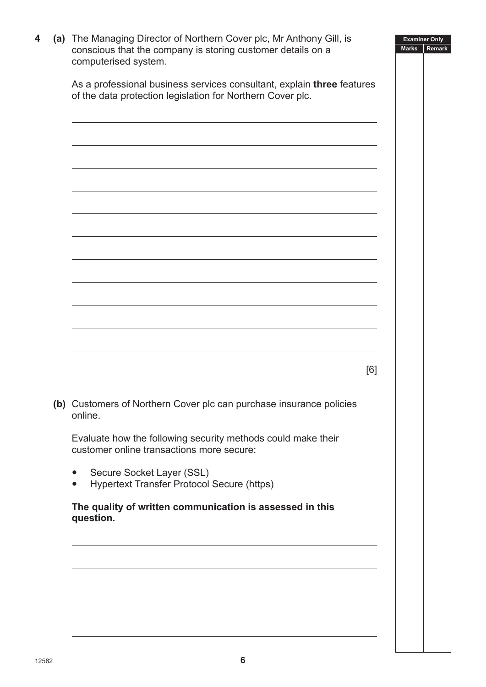| (a) The Managing Director of Northern Cover plc, Mr Anthony Gill, is<br>conscious that the company is storing customer details on a<br>computerised system. | <b>Examiner Only</b><br><b>Marks</b><br><b>Remark</b> |
|-------------------------------------------------------------------------------------------------------------------------------------------------------------|-------------------------------------------------------|
| As a professional business services consultant, explain three features<br>of the data protection legislation for Northern Cover plc.                        |                                                       |
|                                                                                                                                                             |                                                       |
|                                                                                                                                                             |                                                       |
|                                                                                                                                                             |                                                       |
|                                                                                                                                                             |                                                       |
|                                                                                                                                                             |                                                       |
|                                                                                                                                                             |                                                       |
|                                                                                                                                                             | [6]                                                   |
| (b) Customers of Northern Cover plc can purchase insurance policies<br>online.                                                                              |                                                       |
| Evaluate how the following security methods could make their<br>customer online transactions more secure:                                                   |                                                       |
| Secure Socket Layer (SSL)<br>$\bullet$<br>Hypertext Transfer Protocol Secure (https)<br>$\bullet$                                                           |                                                       |
| The quality of written communication is assessed in this<br>question.                                                                                       |                                                       |
|                                                                                                                                                             |                                                       |
|                                                                                                                                                             |                                                       |
|                                                                                                                                                             |                                                       |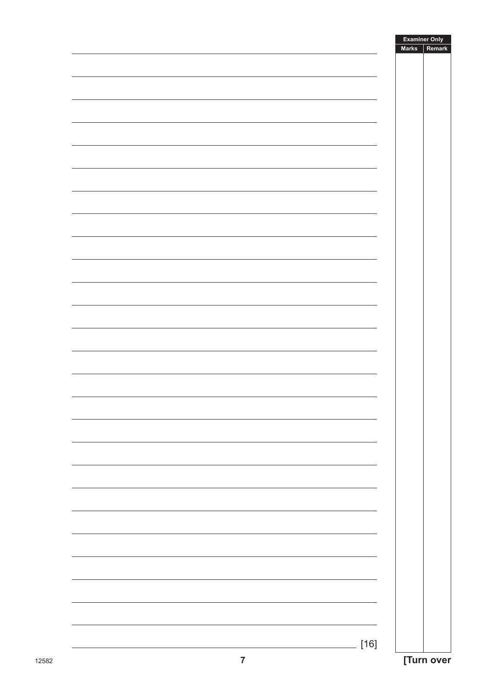|                | <b>Marks</b> | <b>Examiner Only</b><br>Remark |
|----------------|--------------|--------------------------------|
|                |              |                                |
|                |              |                                |
|                |              |                                |
|                |              |                                |
|                |              |                                |
|                |              |                                |
|                |              |                                |
|                |              |                                |
|                |              |                                |
|                |              |                                |
|                |              |                                |
|                |              |                                |
|                |              |                                |
|                |              |                                |
|                |              |                                |
|                |              |                                |
|                |              |                                |
|                |              |                                |
|                |              |                                |
|                |              |                                |
|                |              |                                |
|                |              |                                |
|                |              |                                |
|                |              |                                |
|                |              |                                |
|                |              |                                |
|                |              |                                |
|                |              |                                |
|                |              |                                |
|                |              |                                |
|                |              |                                |
|                |              |                                |
|                |              |                                |
|                |              |                                |
|                |              |                                |
|                |              |                                |
|                |              |                                |
|                |              |                                |
|                |              |                                |
|                |              |                                |
|                |              |                                |
|                |              |                                |
|                |              |                                |
|                |              |                                |
|                |              |                                |
|                |              |                                |
|                |              |                                |
|                |              |                                |
| $[16]$         |              |                                |
| $\overline{7}$ |              | [Turn over                     |

ŕ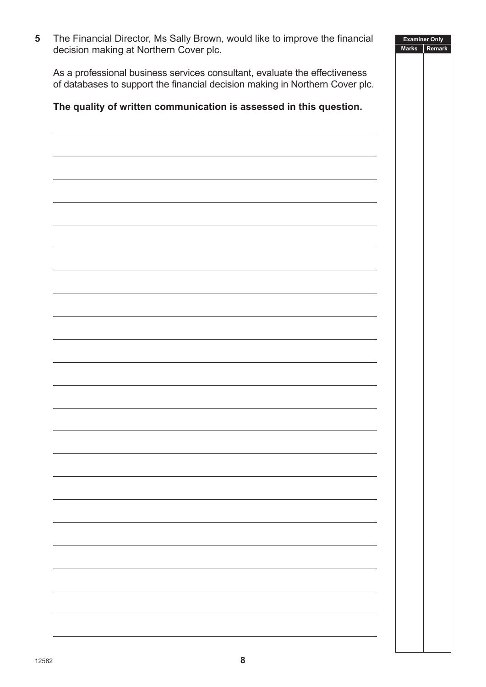**Marks Remark** As a professional business services consultant, evaluate the effectiveness of databases to support the financial decision making in Northern Cover plc. **The quality of written communication is assessed in this question.**

**Examiner Only**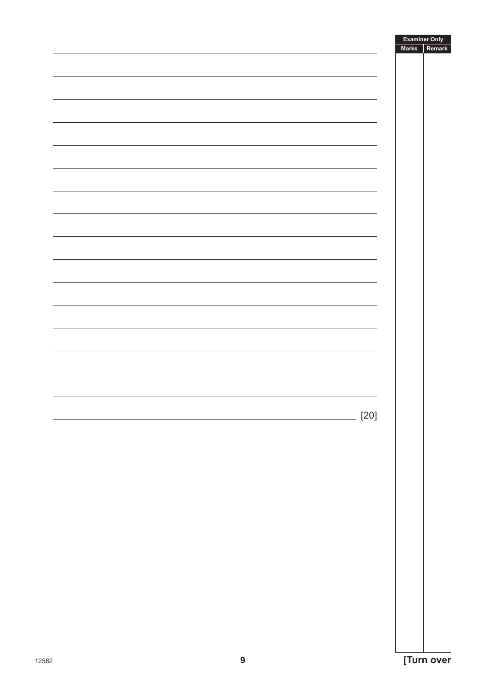|                           | Marks | <b>Examiner Only</b><br>Remark |
|---------------------------|-------|--------------------------------|
|                           |       |                                |
|                           |       |                                |
|                           |       |                                |
|                           |       |                                |
|                           |       |                                |
|                           |       |                                |
|                           |       |                                |
|                           |       |                                |
|                           |       |                                |
|                           |       |                                |
|                           |       |                                |
|                           |       |                                |
|                           |       |                                |
|                           |       |                                |
|                           |       |                                |
|                           |       |                                |
|                           |       |                                |
|                           |       |                                |
|                           |       |                                |
|                           |       |                                |
|                           |       |                                |
|                           |       |                                |
|                           |       |                                |
|                           |       |                                |
|                           |       |                                |
| $[20]$                    |       |                                |
|                           |       |                                |
|                           |       |                                |
|                           |       |                                |
|                           |       |                                |
|                           |       |                                |
|                           |       |                                |
|                           |       |                                |
|                           |       |                                |
|                           |       |                                |
|                           |       |                                |
|                           |       |                                |
|                           |       |                                |
|                           |       |                                |
|                           |       |                                |
|                           |       |                                |
|                           |       |                                |
|                           |       |                                |
| $\boldsymbol{9}$<br>12582 |       | [Turn over                     |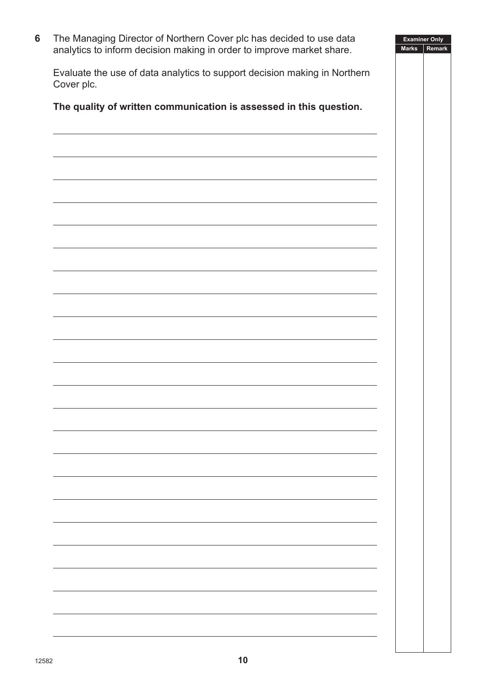**Examiner Only Marks Remark 6** The Managing Director of Northern Cover plc has decided to use data analytics to inform decision making in order to improve market share. Evaluate the use of data analytics to support decision making in Northern Cover plc. **The quality of written communication is assessed in this question.**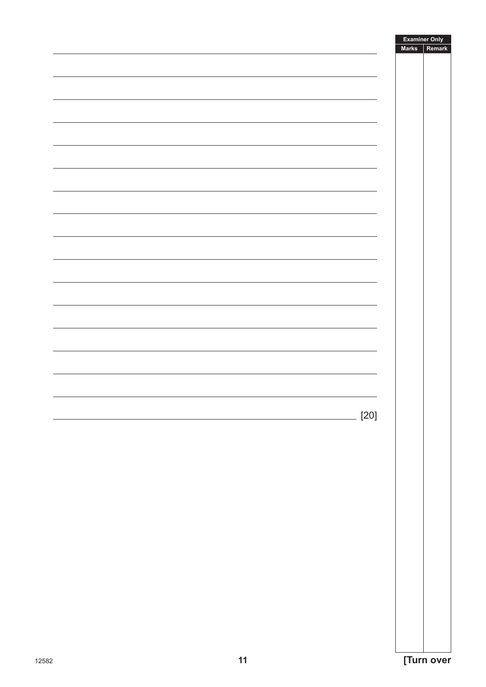|       |      |        | <b>Examiner Only</b><br>Marks | Remark     |
|-------|------|--------|-------------------------------|------------|
|       |      |        |                               |            |
|       |      |        |                               |            |
|       |      |        |                               |            |
|       |      |        |                               |            |
|       |      |        |                               |            |
|       |      |        |                               |            |
|       |      |        |                               |            |
|       |      |        |                               |            |
|       |      |        |                               |            |
|       |      |        |                               |            |
|       |      |        |                               |            |
|       |      |        |                               |            |
|       |      |        |                               |            |
|       |      |        |                               |            |
|       |      |        |                               |            |
|       |      |        |                               |            |
|       |      |        |                               |            |
|       |      |        |                               |            |
|       |      |        |                               |            |
|       |      |        |                               |            |
|       |      |        |                               |            |
|       |      |        |                               |            |
|       |      |        |                               |            |
|       |      |        |                               |            |
|       |      |        |                               |            |
|       |      | $[20]$ |                               |            |
|       |      |        |                               |            |
|       |      |        |                               |            |
|       |      |        |                               |            |
|       |      |        |                               |            |
|       |      |        |                               |            |
|       |      |        |                               |            |
|       |      |        |                               |            |
|       |      |        |                               |            |
|       |      |        |                               |            |
|       |      |        |                               |            |
|       |      |        |                               |            |
|       |      |        |                               |            |
|       |      |        |                               |            |
|       |      |        |                               |            |
|       |      |        |                               |            |
|       |      |        |                               |            |
|       | $11$ |        |                               | [Turn over |
| 12582 |      |        |                               |            |

ŕ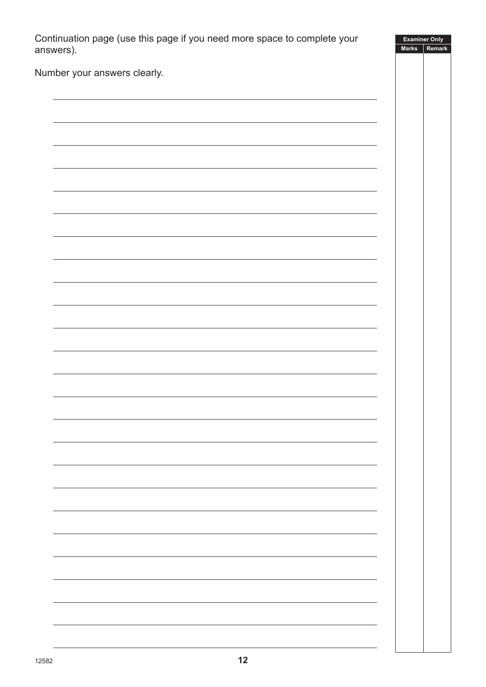| Continuation page (use this page if you need more space to complete your<br>answers). | <b>Marks</b> | <b>Examiner Only</b><br>Remark |
|---------------------------------------------------------------------------------------|--------------|--------------------------------|
| Number your answers clearly.                                                          |              |                                |
|                                                                                       |              |                                |
|                                                                                       |              |                                |
|                                                                                       |              |                                |
|                                                                                       |              |                                |
|                                                                                       |              |                                |
|                                                                                       |              |                                |
|                                                                                       |              |                                |
|                                                                                       |              |                                |
|                                                                                       |              |                                |
|                                                                                       |              |                                |
|                                                                                       |              |                                |
|                                                                                       |              |                                |
|                                                                                       |              |                                |
|                                                                                       |              |                                |
|                                                                                       |              |                                |
|                                                                                       |              |                                |
|                                                                                       |              |                                |
|                                                                                       |              |                                |
|                                                                                       |              |                                |
|                                                                                       |              |                                |
|                                                                                       |              |                                |
|                                                                                       |              |                                |
|                                                                                       |              |                                |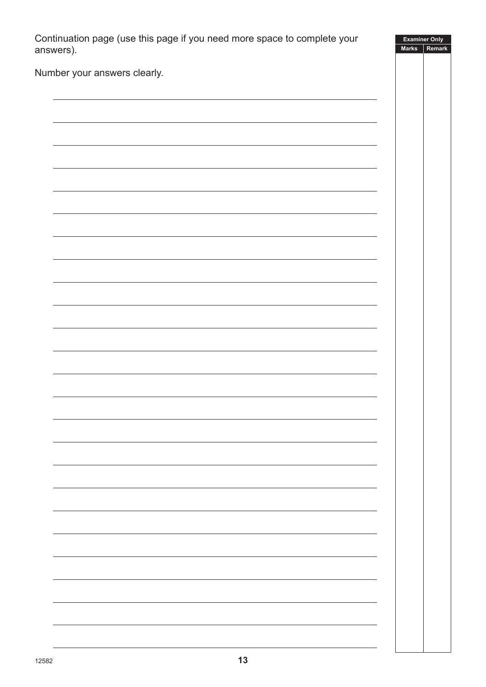| Continuation page (use this page if you need more space to complete your<br>answers). | <b>Marks</b> | <b>Examiner Only</b><br>Remark |
|---------------------------------------------------------------------------------------|--------------|--------------------------------|
| Number your answers clearly.                                                          |              |                                |
|                                                                                       |              |                                |
|                                                                                       |              |                                |
|                                                                                       |              |                                |
|                                                                                       |              |                                |
|                                                                                       |              |                                |
|                                                                                       |              |                                |
|                                                                                       |              |                                |
|                                                                                       |              |                                |
|                                                                                       |              |                                |
|                                                                                       |              |                                |
|                                                                                       |              |                                |
|                                                                                       |              |                                |
|                                                                                       |              |                                |
|                                                                                       |              |                                |
|                                                                                       |              |                                |
|                                                                                       |              |                                |
|                                                                                       |              |                                |
|                                                                                       |              |                                |
|                                                                                       |              |                                |
|                                                                                       |              |                                |
|                                                                                       |              |                                |
|                                                                                       |              |                                |
|                                                                                       |              |                                |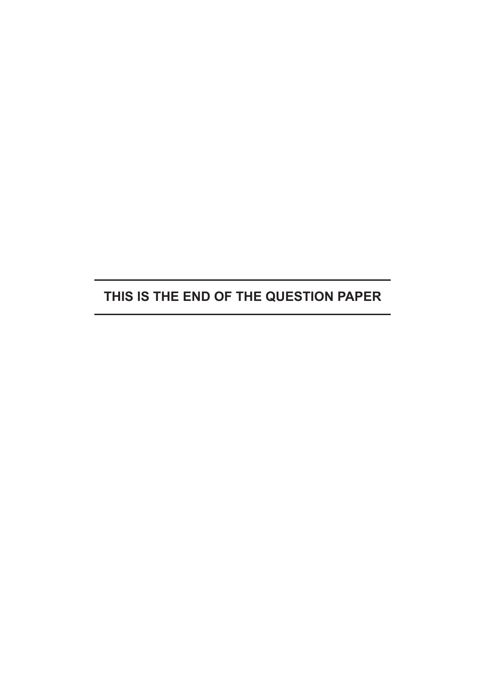# **THIS IS THE END OF THE QUESTION PAPER**